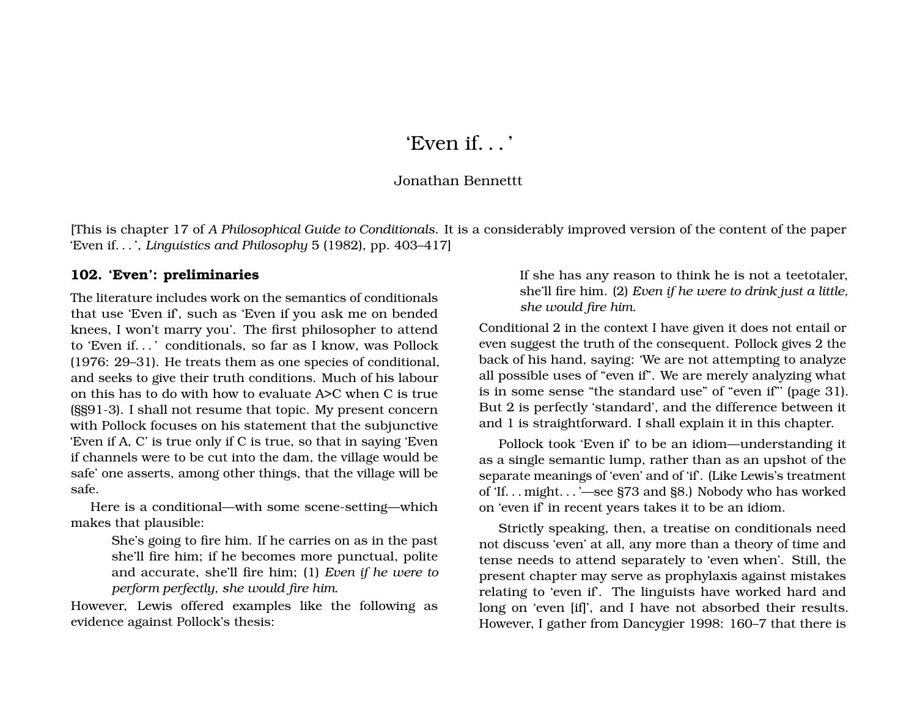# 'Even if. . . '

## Jonathan Bennettt

[This is chapter 17 of *A Philosophical Guide to Conditionals*. It is a considerably improved version of the content of the paper 'Even if. . . ', *Linguistics and Philosophy* 5 (1982), pp. 403–417]

#### **102. 'Even': preliminaries**

The literature includes work on the semantics of conditionals that use 'Even if', such as 'Even if you ask me on bended knees, I won't marry you'. The first philosopher to attend to 'Even if. . . ' conditionals, so far as I know, was Pollock (1976: 29–31). He treats them as one species of conditional, and seeks to give their truth conditions. Much of his labour on this has to do with how to evaluate A>C when C is true (§§91-3). I shall not resume that topic. My present concern with Pollock focuses on his statement that the subjunctive 'Even if A, C' is true only if C is true, so that in saying 'Even if channels were to be cut into the dam, the village would be safe' one asserts, among other things, that the village will be safe.

Here is a conditional—with some scene-setting—which makes that plausible:

> She's going to fire him. If he carries on as in the past she'll fire him; if he becomes more punctual, polite and accurate, she'll fire him; (1) *Even if he were to perform perfectly, she would fire him*.

However, Lewis offered examples like the following as evidence against Pollock's thesis:

## If she has any reason to think he is not a teetotaler, she'll fire him. (2) *Even if he were to drink just a little, she would fire him*.

Conditional 2 in the context I have given it does not entail or even suggest the truth of the consequent. Pollock gives 2 the back of his hand, saying: 'We are not attempting to analyze all possible uses of "even if". We are merely analyzing what is in some sense "the standard use" of "even if"' (page 31). But 2 is perfectly 'standard', and the difference between it and 1 is straightforward. I shall explain it in this chapter.

Pollock took 'Even if' to be an idiom—understanding it as a single semantic lump, rather than as an upshot of the separate meanings of 'even' and of 'if'. (Like Lewis's treatment of 'If. . . might. . . '—see §73 and §8.) Nobody who has worked on 'even if' in recent years takes it to be an idiom.

Strictly speaking, then, a treatise on conditionals need not discuss 'even' at all, any more than a theory of time and tense needs to attend separately to 'even when'. Still, the present chapter may serve as prophylaxis against mistakes relating to 'even if'. The linguists have worked hard and long on 'even [if]', and I have not absorbed their results. However, I gather from Dancygier 1998: 160–7 that there is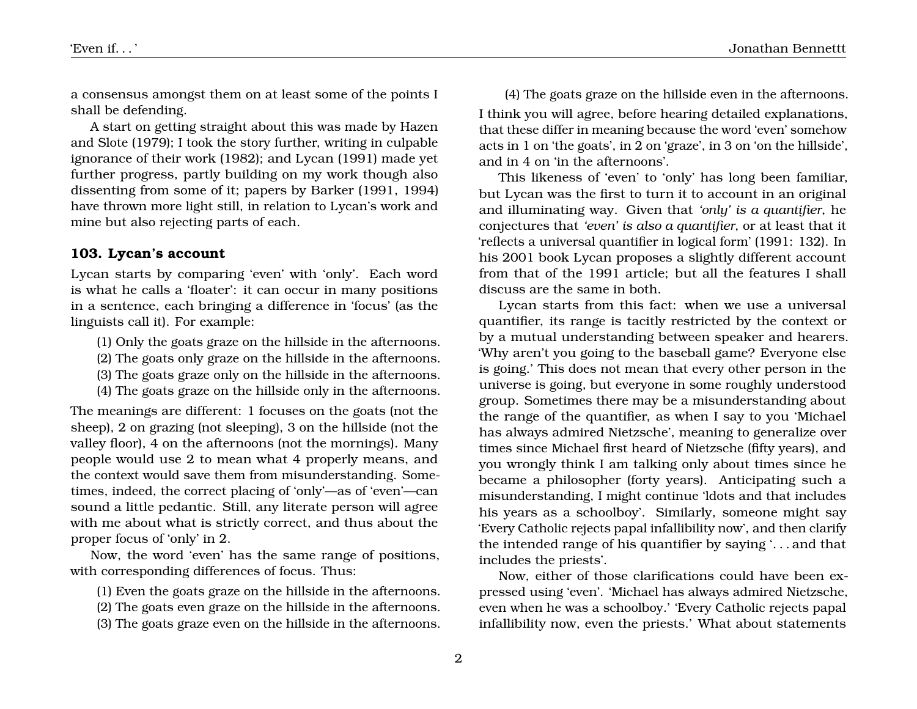a consensus amongst them on at least some of the points I shall be defending.

A start on getting straight about this was made by Hazen and Slote (1979); I took the story further, writing in culpable ignorance of their work (1982); and Lycan (1991) made yet further progress, partly building on my work though also dissenting from some of it; papers by Barker (1991, 1994) have thrown more light still, in relation to Lycan's work and mine but also rejecting parts of each.

#### **103. Lycan's account**

Lycan starts by comparing 'even' with 'only'. Each word is what he calls a 'floater': it can occur in many positions in a sentence, each bringing a difference in 'focus' (as the linguists call it). For example:

- (1) Only the goats graze on the hillside in the afternoons.
- (2) The goats only graze on the hillside in the afternoons.
- (3) The goats graze only on the hillside in the afternoons.
- (4) The goats graze on the hillside only in the afternoons.

The meanings are different: 1 focuses on the goats (not the sheep), 2 on grazing (not sleeping), 3 on the hillside (not the valley floor), 4 on the afternoons (not the mornings). Many people would use 2 to mean what 4 properly means, and the context would save them from misunderstanding. Sometimes, indeed, the correct placing of 'only'—as of 'even'—can sound a little pedantic. Still, any literate person will agree with me about what is strictly correct, and thus about the proper focus of 'only' in 2.

Now, the word 'even' has the same range of positions, with corresponding differences of focus. Thus:

(1) Even the goats graze on the hillside in the afternoons. (2) The goats even graze on the hillside in the afternoons. (3) The goats graze even on the hillside in the afternoons.

(4) The goats graze on the hillside even in the afternoons. I think you will agree, before hearing detailed explanations, that these differ in meaning because the word 'even' somehow acts in 1 on 'the goats', in 2 on 'graze', in 3 on 'on the hillside', and in 4 on 'in the afternoons'.

This likeness of 'even' to 'only' has long been familiar, but Lycan was the first to turn it to account in an original and illuminating way. Given that *'only' is a quantifier*, he conjectures that *'even' is also a quantifier*, or at least that it 'reflects a universal quantifier in logical form' (1991: 132). In his 2001 book Lycan proposes a slightly different account from that of the 1991 article; but all the features I shall discuss are the same in both.

Lycan starts from this fact: when we use a universal quantifier, its range is tacitly restricted by the context or by a mutual understanding between speaker and hearers. 'Why aren't you going to the baseball game? Everyone else is going.' This does not mean that every other person in the universe is going, but everyone in some roughly understood group. Sometimes there may be a misunderstanding about the range of the quantifier, as when I say to you 'Michael has always admired Nietzsche', meaning to generalize over times since Michael first heard of Nietzsche (fifty years), and you wrongly think I am talking only about times since he became a philosopher (forty years). Anticipating such a misunderstanding, I might continue 'ldots and that includes his years as a schoolboy'. Similarly, someone might say 'Every Catholic rejects papal infallibility now', and then clarify the intended range of his quantifier by saying '. . . and that includes the priests'.

Now, either of those clarifications could have been expressed using 'even'. 'Michael has always admired Nietzsche, even when he was a schoolboy.' 'Every Catholic rejects papal infallibility now, even the priests.' What about statements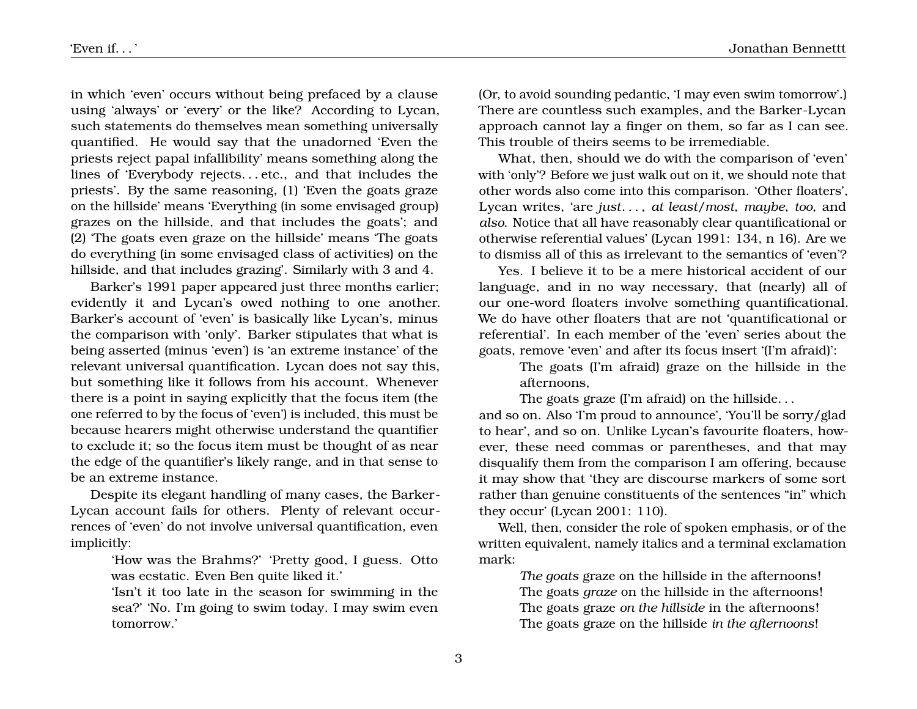in which 'even' occurs without being prefaced by a clause using 'always' or 'every' or the like? According to Lycan, such statements do themselves mean something universally quantified. He would say that the unadorned 'Even the priests reject papal infallibility' means something along the lines of 'Everybody rejects. . . etc., and that includes the priests'. By the same reasoning, (1) 'Even the goats graze on the hillside' means 'Everything (in some envisaged group) grazes on the hillside, and that includes the goats'; and (2) 'The goats even graze on the hillside' means 'The goats do everything (in some envisaged class of activities) on the hillside, and that includes grazing'. Similarly with 3 and 4.

Barker's 1991 paper appeared just three months earlier; evidently it and Lycan's owed nothing to one another. Barker's account of 'even' is basically like Lycan's, minus the comparison with 'only'. Barker stipulates that what is being asserted (minus 'even') is 'an extreme instance' of the relevant universal quantification. Lycan does not say this, but something like it follows from his account. Whenever there is a point in saying explicitly that the focus item (the one referred to by the focus of 'even') is included, this must be because hearers might otherwise understand the quantifier to exclude it; so the focus item must be thought of as near the edge of the quantifier's likely range, and in that sense to be an extreme instance.

Despite its elegant handling of many cases, the Barker-Lycan account fails for others. Plenty of relevant occurrences of 'even' do not involve universal quantification, even implicitly:

> 'How was the Brahms?' 'Pretty good, I guess. Otto was ecstatic. Even Ben quite liked it.'

> 'Isn't it too late in the season for swimming in the sea?' 'No. I'm going to swim today. I may swim even tomorrow.'

(Or, to avoid sounding pedantic, 'I may even swim tomorrow'.) There are countless such examples, and the Barker-Lycan approach cannot lay a finger on them, so far as I can see. This trouble of theirs seems to be irremediable.

What, then, should we do with the comparison of 'even' with 'only'? Before we just walk out on it, we should note that other words also come into this comparison. 'Other floaters', Lycan writes, 'are *just*. . . , *at least/most*, *maybe*, *too*, and *also*. Notice that all have reasonably clear quantificational or otherwise referential values' (Lycan 1991: 134, n 16). Are we to dismiss all of this as irrelevant to the semantics of 'even'?

Yes. I believe it to be a mere historical accident of our language, and in no way necessary, that (nearly) all of our one-word floaters involve something quantificational. We do have other floaters that are not 'quantificational or referential'. In each member of the 'even' series about the goats, remove 'even' and after its focus insert '(I'm afraid)':

> The goats (I'm afraid) graze on the hillside in the afternoons,

The goats graze (I'm afraid) on the hillside. . .

and so on. Also 'I'm proud to announce', 'You'll be sorry/glad to hear', and so on. Unlike Lycan's favourite floaters, however, these need commas or parentheses, and that may disqualify them from the comparison I am offering, because it may show that 'they are discourse markers of some sort rather than genuine constituents of the sentences "in" which they occur' (Lycan 2001: 110).

Well, then, consider the role of spoken emphasis, or of the written equivalent, namely italics and a terminal exclamation mark:

> *The goats* graze on the hillside in the afternoons! The goats *graze* on the hillside in the afternoons! The goats graze *on the hillside* in the afternoons! The goats graze on the hillside *in the afternoons*!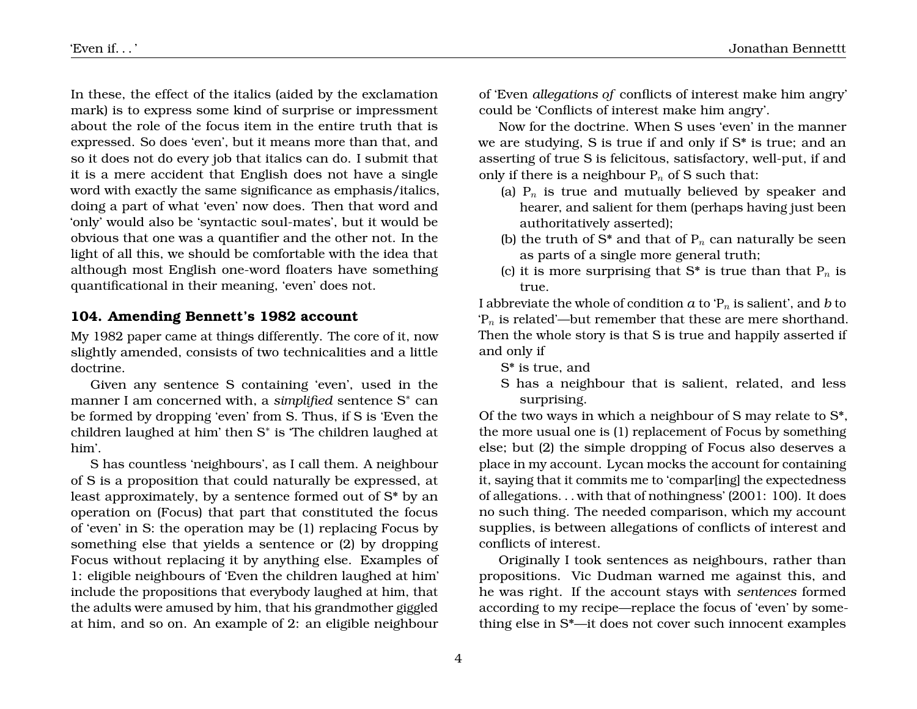In these, the effect of the italics (aided by the exclamation mark) is to express some kind of surprise or impressment about the role of the focus item in the entire truth that is expressed. So does 'even', but it means more than that, and so it does not do every job that italics can do. I submit that it is a mere accident that English does not have a single word with exactly the same significance as emphasis/italics, doing a part of what 'even' now does. Then that word and 'only' would also be 'syntactic soul-mates', but it would be obvious that one was a quantifier and the other not. In the light of all this, we should be comfortable with the idea that although most English one-word floaters have something quantificational in their meaning, 'even' does not.

#### **104. Amending Bennett's 1982 account**

My 1982 paper came at things differently. The core of it, now slightly amended, consists of two technicalities and a little doctrine.

Given any sentence S containing 'even', used in the manner I am concerned with, a *simplified* sentence S<sup>∗</sup> can be formed by dropping 'even' from S. Thus, if S is 'Even the children laughed at him' then S<sup>∗</sup> is 'The children laughed at him'.

S has countless 'neighbours', as I call them. A neighbour of S is a proposition that could naturally be expressed, at least approximately, by a sentence formed out of S\* by an operation on (Focus) that part that constituted the focus of 'even' in S: the operation may be (1) replacing Focus by something else that yields a sentence or (2) by dropping Focus without replacing it by anything else. Examples of 1: eligible neighbours of 'Even the children laughed at him' include the propositions that everybody laughed at him, that the adults were amused by him, that his grandmother giggled at him, and so on. An example of 2: an eligible neighbour

of 'Even *allegations of* conflicts of interest make him angry' could be 'Conflicts of interest make him angry'.

Now for the doctrine. When S uses 'even' in the manner we are studying, S is true if and only if S\* is true; and an asserting of true S is felicitous, satisfactory, well-put, if and only if there is a neighbour  $P_n$  of S such that:

- (a)  $P_n$  is true and mutually believed by speaker and hearer, and salient for them (perhaps having just been authoritatively asserted);
- (b) the truth of  $S^*$  and that of  $P_n$  can naturally be seen as parts of a single more general truth;
- (c) it is more surprising that  $S^*$  is true than that  $P_n$  is true.

I abbreviate the whole of condition  $a$  to ' $P_n$  is salient', and *b* to  $P_n$  is related'—but remember that these are mere shorthand. Then the whole story is that S is true and happily asserted if and only if

- S\* is true, and
- S has a neighbour that is salient, related, and less surprising.

Of the two ways in which a neighbour of S may relate to S\*, the more usual one is (1) replacement of Focus by something else; but (2) the simple dropping of Focus also deserves a place in my account. Lycan mocks the account for containing it, saying that it commits me to 'compar[ing] the expectedness of allegations. . . with that of nothingness' (2001: 100). It does no such thing. The needed comparison, which my account supplies, is between allegations of conflicts of interest and conflicts of interest.

Originally I took sentences as neighbours, rather than propositions. Vic Dudman warned me against this, and he was right. If the account stays with *sentences* formed according to my recipe—replace the focus of 'even' by something else in S\*—it does not cover such innocent examples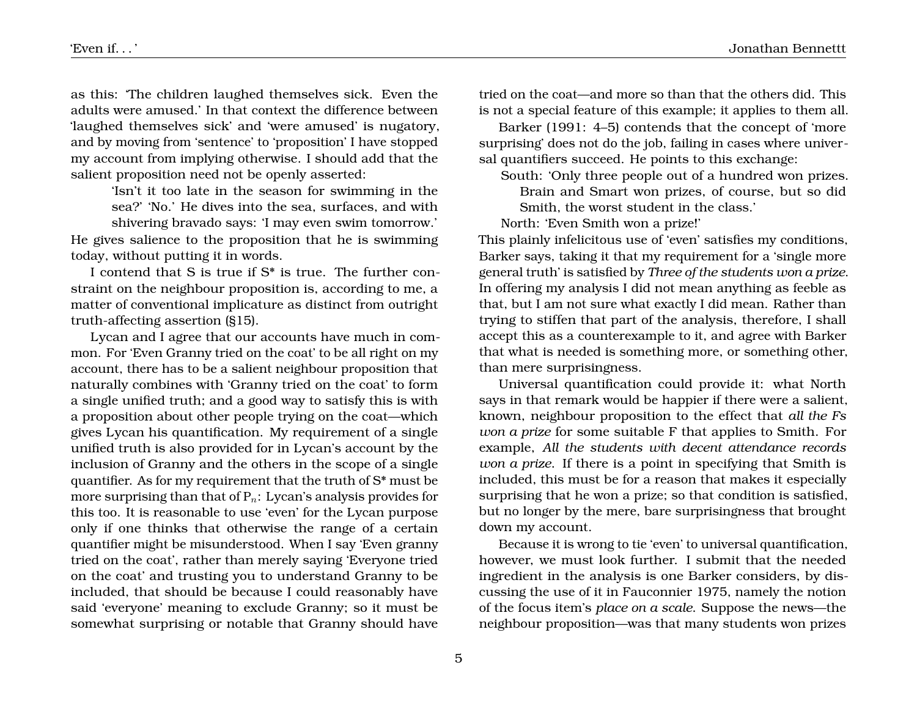as this: 'The children laughed themselves sick. Even the adults were amused.' In that context the difference between 'laughed themselves sick' and 'were amused' is nugatory, and by moving from 'sentence' to 'proposition' I have stopped my account from implying otherwise. I should add that the salient proposition need not be openly asserted:

> 'Isn't it too late in the season for swimming in the sea?' 'No.' He dives into the sea, surfaces, and with

shivering bravado says: 'I may even swim tomorrow.' He gives salience to the proposition that he is swimming today, without putting it in words.

I contend that S is true if S\* is true. The further constraint on the neighbour proposition is, according to me, a matter of conventional implicature as distinct from outright truth-affecting assertion (§15).

Lycan and I agree that our accounts have much in common. For 'Even Granny tried on the coat' to be all right on my account, there has to be a salient neighbour proposition that naturally combines with 'Granny tried on the coat' to form a single unified truth; and a good way to satisfy this is with a proposition about other people trying on the coat—which gives Lycan his quantification. My requirement of a single unified truth is also provided for in Lycan's account by the inclusion of Granny and the others in the scope of a single quantifier. As for my requirement that the truth of S\* must be more surprising than that of  $P_n$ : Lycan's analysis provides for this too. It is reasonable to use 'even' for the Lycan purpose only if one thinks that otherwise the range of a certain quantifier might be misunderstood. When I say 'Even granny tried on the coat', rather than merely saying 'Everyone tried on the coat' and trusting you to understand Granny to be included, that should be because I could reasonably have said 'everyone' meaning to exclude Granny; so it must be somewhat surprising or notable that Granny should have

tried on the coat—and more so than that the others did. This is not a special feature of this example; it applies to them all.

Barker (1991: 4–5) contends that the concept of 'more surprising' does not do the job, failing in cases where universal quantifiers succeed. He points to this exchange:

South: 'Only three people out of a hundred won prizes. Brain and Smart won prizes, of course, but so did Smith, the worst student in the class.'

North: 'Even Smith won a prize!'

This plainly infelicitous use of 'even' satisfies my conditions, Barker says, taking it that my requirement for a 'single more general truth' is satisfied by *Three of the students won a prize*. In offering my analysis I did not mean anything as feeble as that, but I am not sure what exactly I did mean. Rather than trying to stiffen that part of the analysis, therefore, I shall accept this as a counterexample to it, and agree with Barker that what is needed is something more, or something other, than mere surprisingness.

Universal quantification could provide it: what North says in that remark would be happier if there were a salient, known, neighbour proposition to the effect that *all the Fs won a prize* for some suitable F that applies to Smith. For example, *All the students with decent attendance records won a prize*. If there is a point in specifying that Smith is included, this must be for a reason that makes it especially surprising that he won a prize; so that condition is satisfied, but no longer by the mere, bare surprisingness that brought down my account.

Because it is wrong to tie 'even' to universal quantification, however, we must look further. I submit that the needed ingredient in the analysis is one Barker considers, by discussing the use of it in Fauconnier 1975, namely the notion of the focus item's *place on a scale*. Suppose the news—the neighbour proposition—was that many students won prizes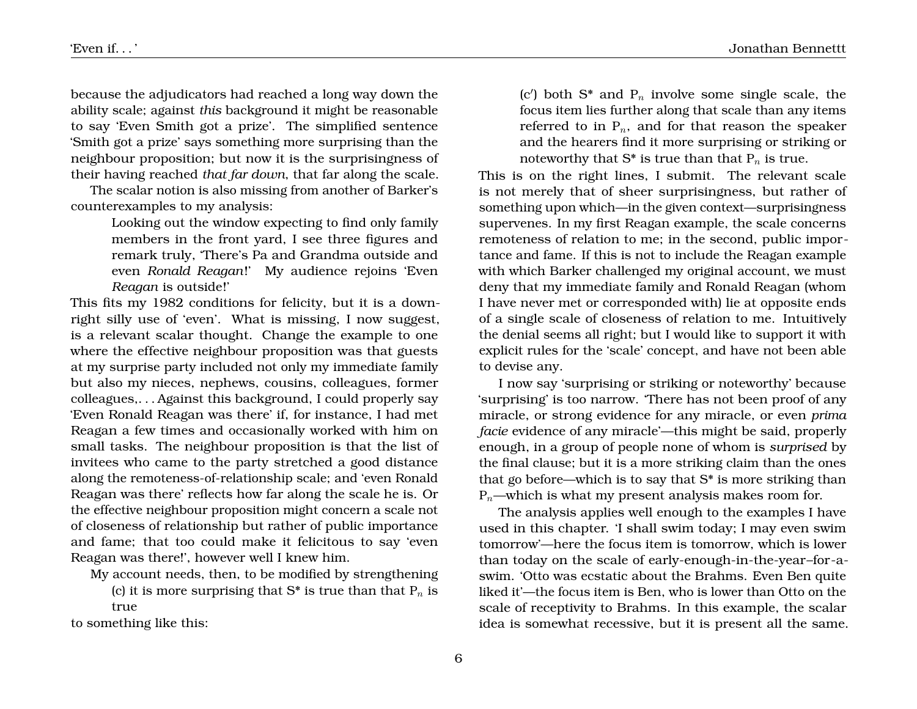because the adjudicators had reached a long way down the ability scale; against *this* background it might be reasonable to say 'Even Smith got a prize'. The simplified sentence 'Smith got a prize' says something more surprising than the neighbour proposition; but now it is the surprisingness of their having reached *that far down*, that far along the scale.

The scalar notion is also missing from another of Barker's counterexamples to my analysis:

> Looking out the window expecting to find only family members in the front yard, I see three figures and remark truly, 'There's Pa and Grandma outside and even *Ronald Reagan*!' My audience rejoins 'Even *Reagan* is outside!'

This fits my 1982 conditions for felicity, but it is a downright silly use of 'even'. What is missing, I now suggest, is a relevant scalar thought. Change the example to one where the effective neighbour proposition was that guests at my surprise party included not only my immediate family but also my nieces, nephews, cousins, colleagues, former colleagues,. . . Against this background, I could properly say 'Even Ronald Reagan was there' if, for instance, I had met Reagan a few times and occasionally worked with him on small tasks. The neighbour proposition is that the list of invitees who came to the party stretched a good distance along the remoteness-of-relationship scale; and 'even Ronald Reagan was there' reflects how far along the scale he is. Or the effective neighbour proposition might concern a scale not of closeness of relationship but rather of public importance and fame; that too could make it felicitous to say 'even Reagan was there!', however well I knew him.

My account needs, then, to be modified by strengthening (c) it is more surprising that  $S^*$  is true than that  $P_n$  is true

to something like this:

(c') both  $S^*$  and  $P_n$  involve some single scale, the focus item lies further along that scale than any items referred to in  $P_n$ , and for that reason the speaker and the hearers find it more surprising or striking or noteworthy that  $S^*$  is true than that  $P_n$  is true.

This is on the right lines, I submit. The relevant scale is not merely that of sheer surprisingness, but rather of something upon which—in the given context—surprisingness supervenes. In my first Reagan example, the scale concerns remoteness of relation to me; in the second, public importance and fame. If this is not to include the Reagan example with which Barker challenged my original account, we must deny that my immediate family and Ronald Reagan (whom I have never met or corresponded with) lie at opposite ends of a single scale of closeness of relation to me. Intuitively the denial seems all right; but I would like to support it with explicit rules for the 'scale' concept, and have not been able to devise any.

I now say 'surprising or striking or noteworthy' because 'surprising' is too narrow. 'There has not been proof of any miracle, or strong evidence for any miracle, or even *prima facie* evidence of any miracle'—this might be said, properly enough, in a group of people none of whom is *surprised* by the final clause; but it is a more striking claim than the ones that go before—which is to say that S\* is more striking than  $P_n$ —which is what my present analysis makes room for.

The analysis applies well enough to the examples I have used in this chapter. 'I shall swim today; I may even swim tomorrow'—here the focus item is tomorrow, which is lower than today on the scale of early-enough-in-the-year–for-aswim. 'Otto was ecstatic about the Brahms. Even Ben quite liked it'—the focus item is Ben, who is lower than Otto on the scale of receptivity to Brahms. In this example, the scalar idea is somewhat recessive, but it is present all the same.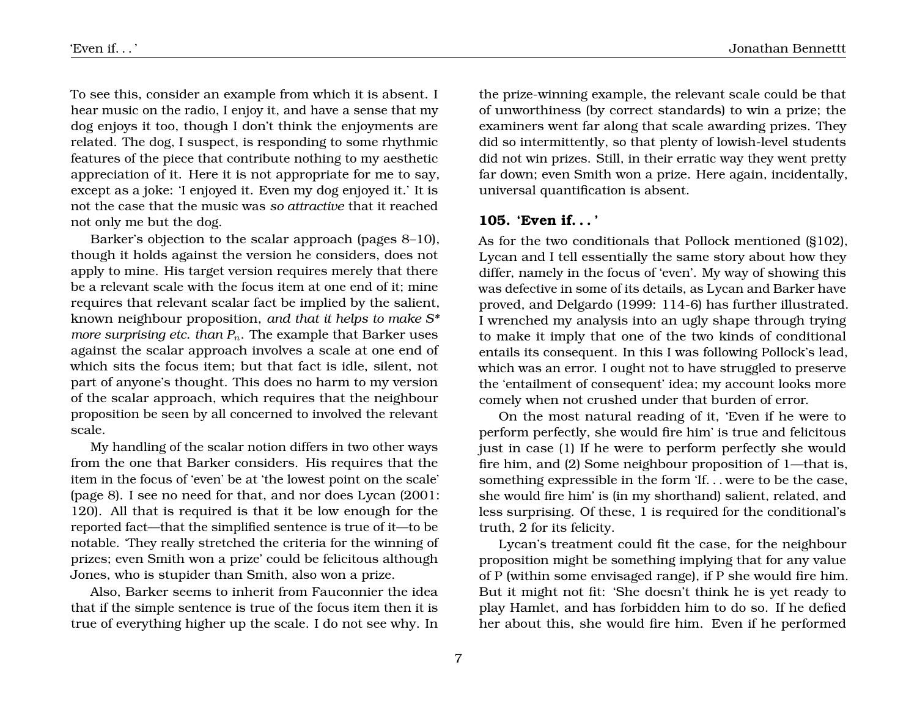To see this, consider an example from which it is absent. I hear music on the radio, I enjoy it, and have a sense that my dog enjoys it too, though I don't think the enjoyments are related. The dog, I suspect, is responding to some rhythmic features of the piece that contribute nothing to my aesthetic appreciation of it. Here it is not appropriate for me to say, except as a joke: 'I enjoyed it. Even my dog enjoyed it.' It is not the case that the music was *so attractive* that it reached not only me but the dog.

Barker's objection to the scalar approach (pages 8–10), though it holds against the version he considers, does not apply to mine. His target version requires merely that there be a relevant scale with the focus item at one end of it; mine requires that relevant scalar fact be implied by the salient, known neighbour proposition, *and that it helps to make S\* more surprising etc. than P<sub>n</sub>*. The example that Barker uses against the scalar approach involves a scale at one end of which sits the focus item; but that fact is idle, silent, not part of anyone's thought. This does no harm to my version of the scalar approach, which requires that the neighbour proposition be seen by all concerned to involved the relevant scale.

My handling of the scalar notion differs in two other ways from the one that Barker considers. His requires that the item in the focus of 'even' be at 'the lowest point on the scale' (page 8). I see no need for that, and nor does Lycan (2001: 120). All that is required is that it be low enough for the reported fact—that the simplified sentence is true of it—to be notable. 'They really stretched the criteria for the winning of prizes; even Smith won a prize' could be felicitous although Jones, who is stupider than Smith, also won a prize.

Also, Barker seems to inherit from Fauconnier the idea that if the simple sentence is true of the focus item then it is true of everything higher up the scale. I do not see why. In the prize-winning example, the relevant scale could be that of unworthiness (by correct standards) to win a prize; the examiners went far along that scale awarding prizes. They did so intermittently, so that plenty of lowish-level students did not win prizes. Still, in their erratic way they went pretty far down; even Smith won a prize. Here again, incidentally, universal quantification is absent.

### **105. 'Even if. . . '**

As for the two conditionals that Pollock mentioned (§102), Lycan and I tell essentially the same story about how they differ, namely in the focus of 'even'. My way of showing this was defective in some of its details, as Lycan and Barker have proved, and Delgardo (1999: 114-6) has further illustrated. I wrenched my analysis into an ugly shape through trying to make it imply that one of the two kinds of conditional entails its consequent. In this I was following Pollock's lead, which was an error. I ought not to have struggled to preserve the 'entailment of consequent' idea; my account looks more comely when not crushed under that burden of error.

On the most natural reading of it, 'Even if he were to perform perfectly, she would fire him' is true and felicitous just in case (1) If he were to perform perfectly she would fire him, and (2) Some neighbour proposition of 1—that is, something expressible in the form 'If. . . were to be the case, she would fire him' is (in my shorthand) salient, related, and less surprising. Of these, 1 is required for the conditional's truth, 2 for its felicity.

Lycan's treatment could fit the case, for the neighbour proposition might be something implying that for any value of P (within some envisaged range), if P she would fire him. But it might not fit: 'She doesn't think he is yet ready to play Hamlet, and has forbidden him to do so. If he defied her about this, she would fire him. Even if he performed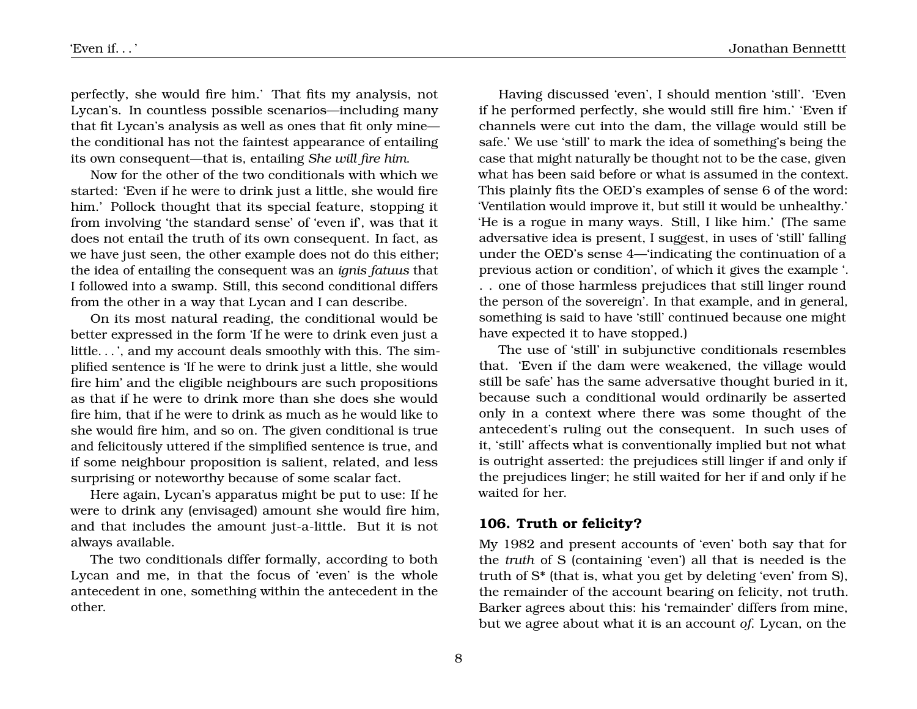perfectly, she would fire him.' That fits my analysis, not Lycan's. In countless possible scenarios—including many that fit Lycan's analysis as well as ones that fit only mine the conditional has not the faintest appearance of entailing its own consequent—that is, entailing *She will fire him*.

Now for the other of the two conditionals with which we started: 'Even if he were to drink just a little, she would fire him.' Pollock thought that its special feature, stopping it from involving 'the standard sense' of 'even if', was that it does not entail the truth of its own consequent. In fact, as we have just seen, the other example does not do this either; the idea of entailing the consequent was an *ignis fatuus* that I followed into a swamp. Still, this second conditional differs from the other in a way that Lycan and I can describe.

On its most natural reading, the conditional would be better expressed in the form 'If he were to drink even just a little...', and my account deals smoothly with this. The simplified sentence is 'If he were to drink just a little, she would fire him' and the eligible neighbours are such propositions as that if he were to drink more than she does she would fire him, that if he were to drink as much as he would like to she would fire him, and so on. The given conditional is true and felicitously uttered if the simplified sentence is true, and if some neighbour proposition is salient, related, and less surprising or noteworthy because of some scalar fact.

Here again, Lycan's apparatus might be put to use: If he were to drink any (envisaged) amount she would fire him, and that includes the amount just-a-little. But it is not always available.

The two conditionals differ formally, according to both Lycan and me, in that the focus of 'even' is the whole antecedent in one, something within the antecedent in the other.

Having discussed 'even', I should mention 'still'. 'Even if he performed perfectly, she would still fire him.' 'Even if channels were cut into the dam, the village would still be safe.' We use 'still' to mark the idea of something's being the case that might naturally be thought not to be the case, given what has been said before or what is assumed in the context. This plainly fits the OED's examples of sense 6 of the word: 'Ventilation would improve it, but still it would be unhealthy.' 'He is a rogue in many ways. Still, I like him.' (The same adversative idea is present, I suggest, in uses of 'still' falling under the OED's sense 4—'indicating the continuation of a previous action or condition', of which it gives the example '. . . one of those harmless prejudices that still linger round the person of the sovereign'. In that example, and in general, something is said to have 'still' continued because one might have expected it to have stopped.)

The use of 'still' in subjunctive conditionals resembles that. 'Even if the dam were weakened, the village would still be safe' has the same adversative thought buried in it, because such a conditional would ordinarily be asserted only in a context where there was some thought of the antecedent's ruling out the consequent. In such uses of it, 'still' affects what is conventionally implied but not what is outright asserted: the prejudices still linger if and only if the prejudices linger; he still waited for her if and only if he waited for her.

## **106. Truth or felicity?**

My 1982 and present accounts of 'even' both say that for the *truth* of S (containing 'even') all that is needed is the truth of S\* (that is, what you get by deleting 'even' from S), the remainder of the account bearing on felicity, not truth. Barker agrees about this: his 'remainder' differs from mine, but we agree about what it is an account *of*. Lycan, on the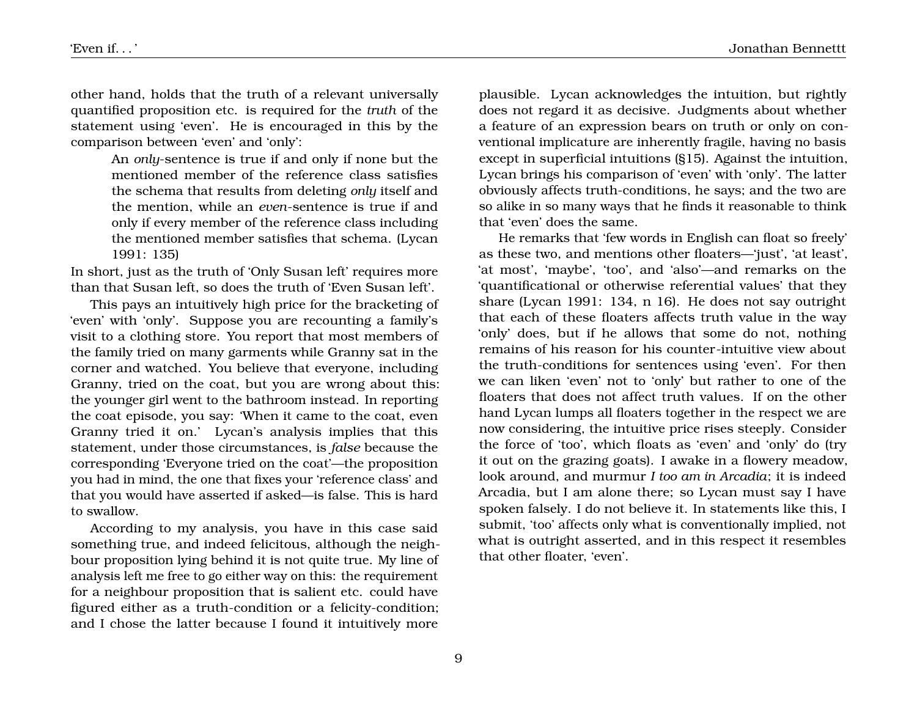other hand, holds that the truth of a relevant universally quantified proposition etc. is required for the *truth* of the statement using 'even'. He is encouraged in this by the comparison between 'even' and 'only':

> An *only*-sentence is true if and only if none but the mentioned member of the reference class satisfies the schema that results from deleting *only* itself and the mention, while an *even*-sentence is true if and only if every member of the reference class including the mentioned member satisfies that schema. (Lycan 1991: 135)

In short, just as the truth of 'Only Susan left' requires more than that Susan left, so does the truth of 'Even Susan left'.

This pays an intuitively high price for the bracketing of 'even' with 'only'. Suppose you are recounting a family's visit to a clothing store. You report that most members of the family tried on many garments while Granny sat in the corner and watched. You believe that everyone, including Granny, tried on the coat, but you are wrong about this: the younger girl went to the bathroom instead. In reporting the coat episode, you say: 'When it came to the coat, even Granny tried it on.' Lycan's analysis implies that this statement, under those circumstances, is *false* because the corresponding 'Everyone tried on the coat'—the proposition you had in mind, the one that fixes your 'reference class' and that you would have asserted if asked—is false. This is hard to swallow.

According to my analysis, you have in this case said something true, and indeed felicitous, although the neighbour proposition lying behind it is not quite true. My line of analysis left me free to go either way on this: the requirement for a neighbour proposition that is salient etc. could have figured either as a truth-condition or a felicity-condition; and I chose the latter because I found it intuitively more

plausible. Lycan acknowledges the intuition, but rightly does not regard it as decisive. Judgments about whether a feature of an expression bears on truth or only on conventional implicature are inherently fragile, having no basis except in superficial intuitions (§15). Against the intuition, Lycan brings his comparison of 'even' with 'only'. The latter obviously affects truth-conditions, he says; and the two are so alike in so many ways that he finds it reasonable to think that 'even' does the same.

He remarks that 'few words in English can float so freely' as these two, and mentions other floaters—'just', 'at least', 'at most', 'maybe', 'too', and 'also'—and remarks on the 'quantificational or otherwise referential values' that they share (Lycan 1991: 134, n 16). He does not say outright that each of these floaters affects truth value in the way 'only' does, but if he allows that some do not, nothing remains of his reason for his counter-intuitive view about the truth-conditions for sentences using 'even'. For then we can liken 'even' not to 'only' but rather to one of the floaters that does not affect truth values. If on the other hand Lycan lumps all floaters together in the respect we are now considering, the intuitive price rises steeply. Consider the force of 'too', which floats as 'even' and 'only' do (try it out on the grazing goats). I awake in a flowery meadow, look around, and murmur *I too am in Arcadia*; it is indeed Arcadia, but I am alone there; so Lycan must say I have spoken falsely. I do not believe it. In statements like this, I submit, 'too' affects only what is conventionally implied, not what is outright asserted, and in this respect it resembles that other floater, 'even'.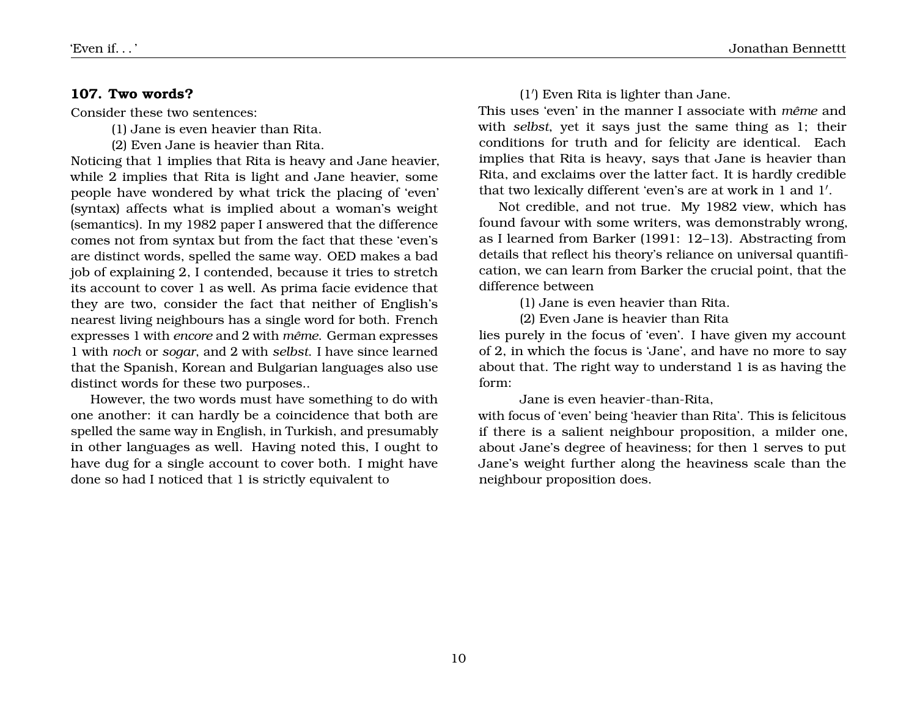#### **107. Two words?**

Consider these two sentences:

- (1) Jane is even heavier than Rita.
- (2) Even Jane is heavier than Rita.

Noticing that 1 implies that Rita is heavy and Jane heavier, while 2 implies that Rita is light and Jane heavier, some people have wondered by what trick the placing of 'even' (syntax) affects what is implied about a woman's weight (semantics). In my 1982 paper I answered that the difference comes not from syntax but from the fact that these 'even's are distinct words, spelled the same way. OED makes a bad job of explaining 2, I contended, because it tries to stretch its account to cover 1 as well. As prima facie evidence that they are two, consider the fact that neither of English's nearest living neighbours has a single word for both. French expresses 1 with *encore* and 2 with *même*. German expresses 1 with *noch* or *sogar*, and 2 with *selbst*. I have since learned that the Spanish, Korean and Bulgarian languages also use distinct words for these two purposes..

However, the two words must have something to do with one another: it can hardly be a coincidence that both are spelled the same way in English, in Turkish, and presumably in other languages as well. Having noted this, I ought to have dug for a single account to cover both. I might have done so had I noticed that 1 is strictly equivalent to

(1') Even Rita is lighter than Jane.

This uses 'even' in the manner I associate with *même* and with *selbst*, yet it says just the same thing as 1; their conditions for truth and for felicity are identical. Each implies that Rita is heavy, says that Jane is heavier than Rita, and exclaims over the latter fact. It is hardly credible that two lexically different 'even's are at work in  $1$  and  $1'$ .

Not credible, and not true. My 1982 view, which has found favour with some writers, was demonstrably wrong, as I learned from Barker (1991: 12–13). Abstracting from details that reflect his theory's reliance on universal quantification, we can learn from Barker the crucial point, that the difference between

(1) Jane is even heavier than Rita.

(2) Even Jane is heavier than Rita

lies purely in the focus of 'even'. I have given my account of 2, in which the focus is 'Jane', and have no more to say about that. The right way to understand 1 is as having the form:

Jane is even heavier-than-Rita,

with focus of 'even' being 'heavier than Rita'. This is felicitous if there is a salient neighbour proposition, a milder one, about Jane's degree of heaviness; for then 1 serves to put Jane's weight further along the heaviness scale than the neighbour proposition does.